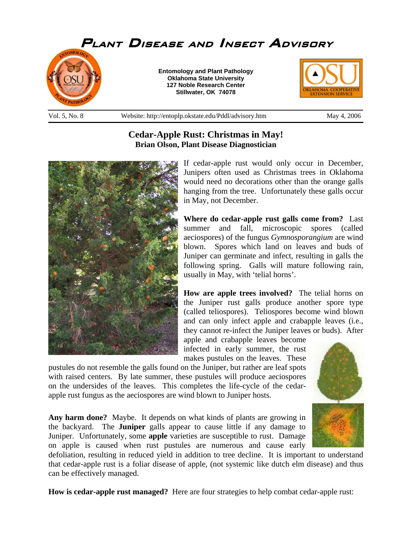

## **Cedar-Apple Rust: Christmas in May! Brian Olson, Plant Disease Diagnostician**



If cedar-apple rust would only occur in December, Junipers often used as Christmas trees in Oklahoma would need no decorations other than the orange galls hanging from the tree. Unfortunately these galls occur in May, not December.

**Where do cedar-apple rust galls come from?** Last summer and fall, microscopic spores (called aeciospores) of the fungus *Gymnosporangium* are wind blown. Spores which land on leaves and buds of Juniper can germinate and infect, resulting in galls the following spring. Galls will mature following rain, usually in May, with 'telial horns'.

**How are apple trees involved?** The telial horns on the Juniper rust galls produce another spore type (called teliospores). Teliospores become wind blown and can only infect apple and crabapple leaves (i.e., they cannot re-infect the Juniper leaves or buds). After

apple and crabapple leaves become infected in early summer, the rust makes pustules on the leaves. These

pustules do not resemble the galls found on the Juniper, but rather are leaf spots with raised centers. By late summer, these pustules will produce aeciospores on the undersides of the leaves. This completes the life-cycle of the cedarapple rust fungus as the aeciospores are wind blown to Juniper hosts.

**Any harm done?** Maybe. It depends on what kinds of plants are growing in the backyard. The **Juniper** galls appear to cause little if any damage to Juniper. Unfortunately, some **apple** varieties are susceptible to rust. Damage on apple is caused when rust pustules are numerous and cause early

defoliation, resulting in reduced yield in addition to tree decline. It is important to understand that cedar-apple rust is a foliar disease of apple, (not systemic like dutch elm disease) and thus can be effectively managed.

**How is cedar-apple rust managed?** Here are four strategies to help combat cedar-apple rust: